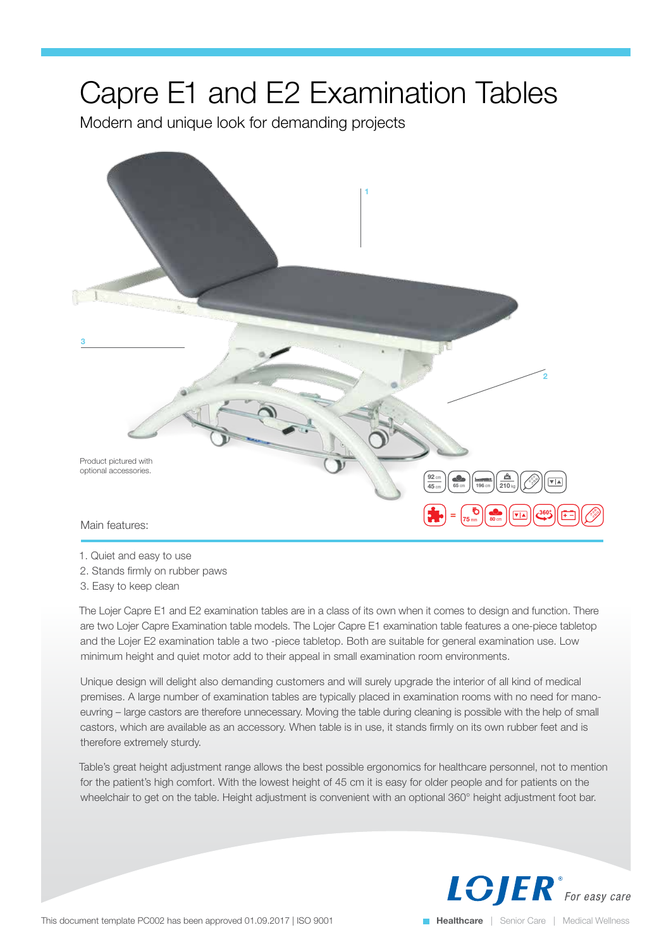## Capre E1 and E2 Examination Tables

Modern and unique look for demanding projects



1. Quiet and easy to use

- 2. Stands firmly on rubber paws
- 3. Easy to keep clean

The Lojer Capre E1 and E2 examination tables are in a class of its own when it comes to design and function. There are two Lojer Capre Examination table models. The Lojer Capre E1 examination table features a one-piece tabletop and the Lojer E2 examination table a two -piece tabletop. Both are suitable for general examination use. Low minimum height and quiet motor add to their appeal in small examination room environments.

Unique design will delight also demanding customers and will surely upgrade the interior of all kind of medical premises. A large number of examination tables are typically placed in examination rooms with no need for manoeuvring – large castors are therefore unnecessary. Moving the table during cleaning is possible with the help of small castors, which are available as an accessory. When table is in use, it stands firmly on its own rubber feet and is therefore extremely sturdy.

Table's great height adjustment range allows the best possible ergonomics for healthcare personnel, not to mention for the patient's high comfort. With the lowest height of 45 cm it is easy for older people and for patients on the wheelchair to get on the table. Height adjustment is convenient with an optional 360° height adjustment foot bar.